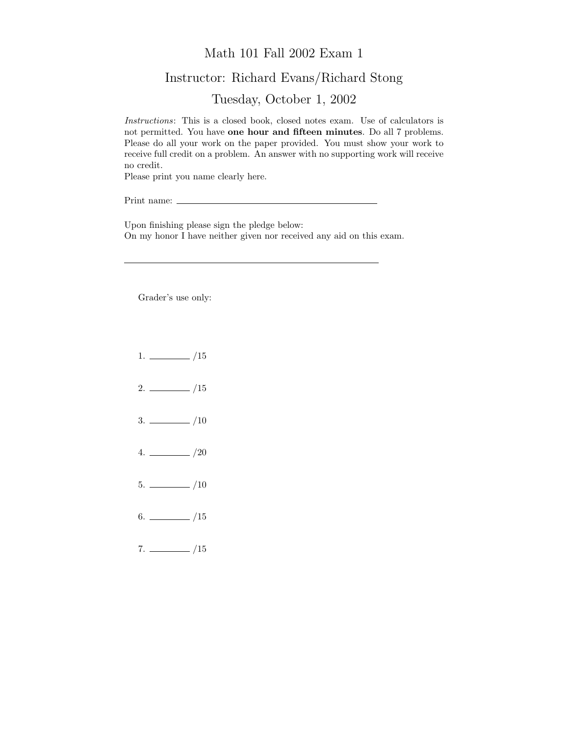## Math 101 Fall 2002 Exam 1

## Instructor: Richard Evans/Richard Stong

Tuesday, October 1, 2002

Instructions: This is a closed book, closed notes exam. Use of calculators is not permitted. You have one hour and fifteen minutes. Do all 7 problems. Please do all your work on the paper provided. You must show your work to receive full credit on a problem. An answer with no supporting work will receive no credit.

Please print you name clearly here.

Print name:

Upon finishing please sign the pledge below: On my honor I have neither given nor received any aid on this exam.

Grader's use only:

- $1. \ \_ \ \_ \ /15$
- $2. \ \frac{\ }{\ }$  /15
- $3. \ \_$ /10
- $4. \ \_/20$
- $5. \ \_ \ \_ \ \_/10$
- $6.$  /15
- $7. \ \_ 15$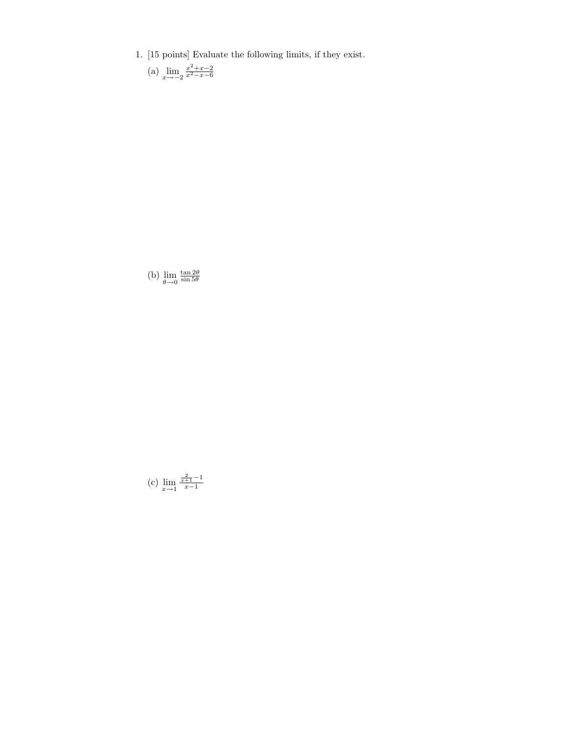- 1. [15 points] Evaluate the following limits, if they exist.
	- (a)  $\lim_{x \to -2} \frac{x^2 + x 2}{x^2 x 6}$

(b)  $\lim_{\theta \to 0}$  $rac{\tan 2\theta}{\sin 5\theta}$ 

(c) 
$$
\lim_{x \to 1} \frac{\frac{2}{x+1} - 1}{x-1}
$$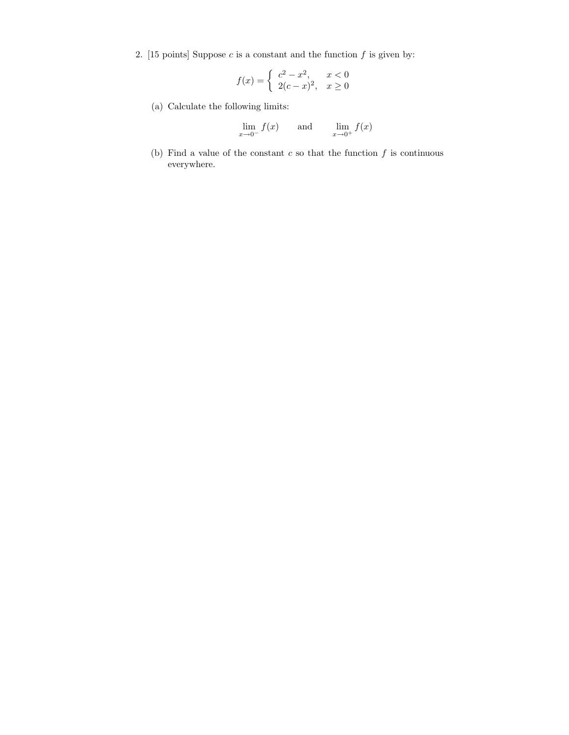2. [15 points] Suppose  $c$  is a constant and the function  $f$  is given by:

$$
f(x) = \begin{cases} c^2 - x^2, & x < 0\\ 2(c - x)^2, & x \ge 0 \end{cases}
$$

(a) Calculate the following limits:

$$
\lim_{x \to 0^{-}} f(x) \qquad \text{and} \qquad \lim_{x \to 0^{+}} f(x)
$$

(b) Find a value of the constant  $c$  so that the function  $f$  is continuous everywhere.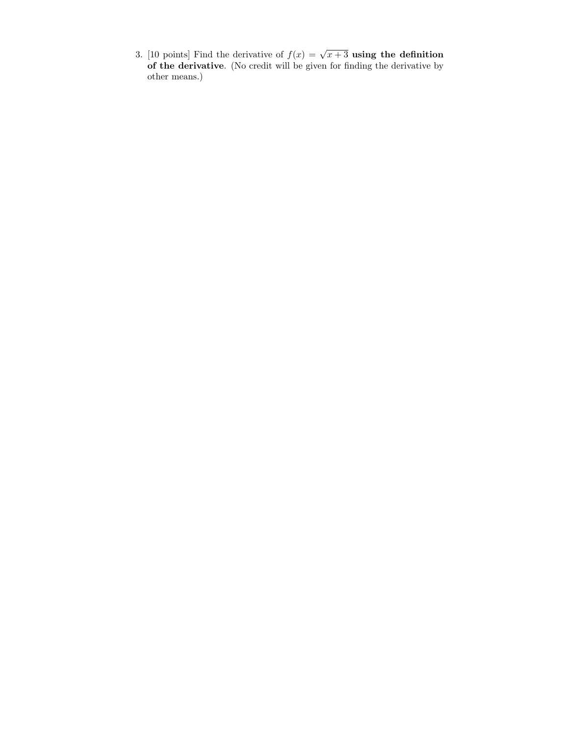3. [10 points] Find the derivative of  $f(x) = \sqrt{x+3}$  using the definition of the derivative. (No credit will be given for finding the derivative by other means.)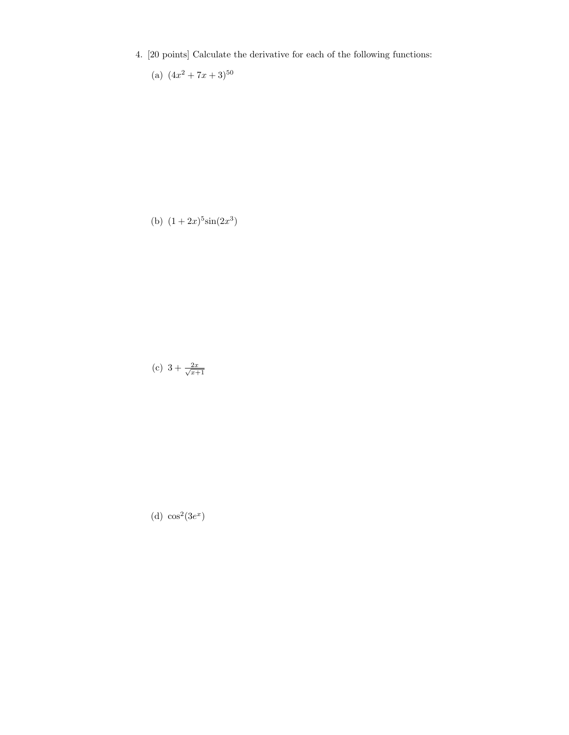- 4. [20 points] Calculate the derivative for each of the following functions:
	- (a)  $(4x^2+7x+3)^{50}$

(b)  $(1+2x)^5\sin(2x^3)$ 

$$
(c) 3 + \frac{2x}{\sqrt{x+1}}
$$

(d) 
$$
\cos^2(3e^x)
$$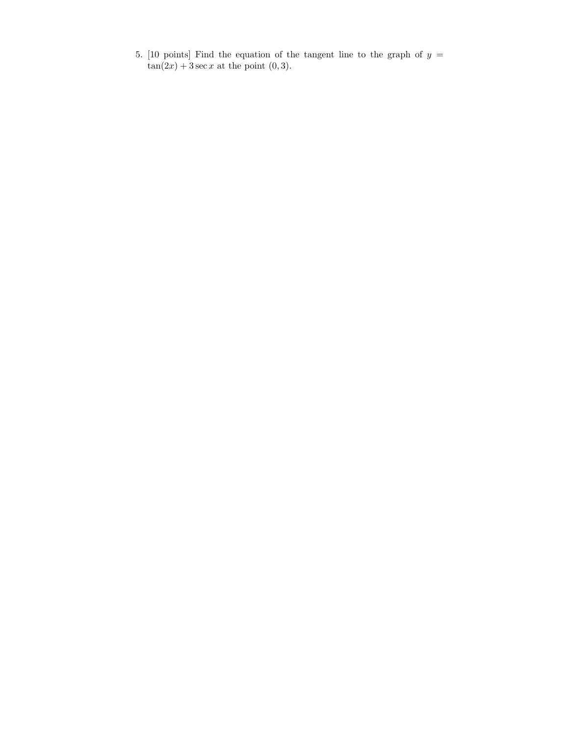5. [10 points] Find the equation of the tangent line to the graph of  $y =$  $\tan(2x) + 3 \sec x$  at the point  $(0, 3)$ .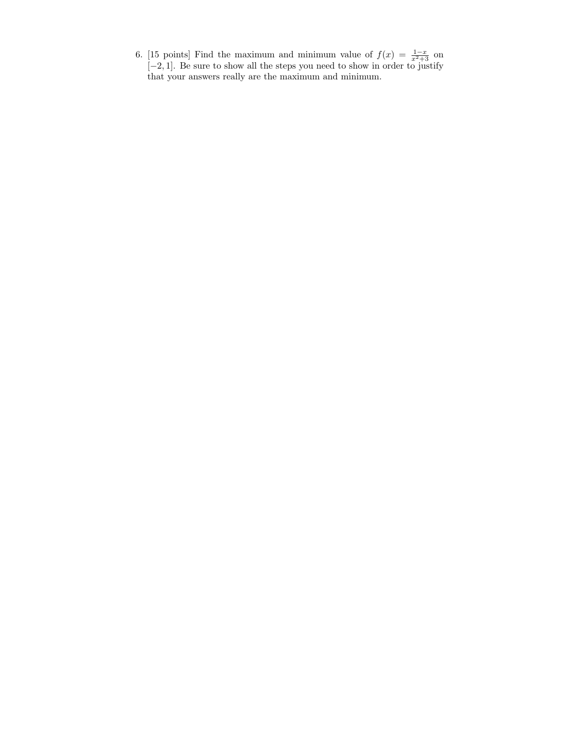6. [15 points] Find the maximum and minimum value of  $f(x) = \frac{1-x}{x^2+3}$  on [−2, 1]. Be sure to show all the steps you need to show in order to justify that your answers really are the maximum and minimum.